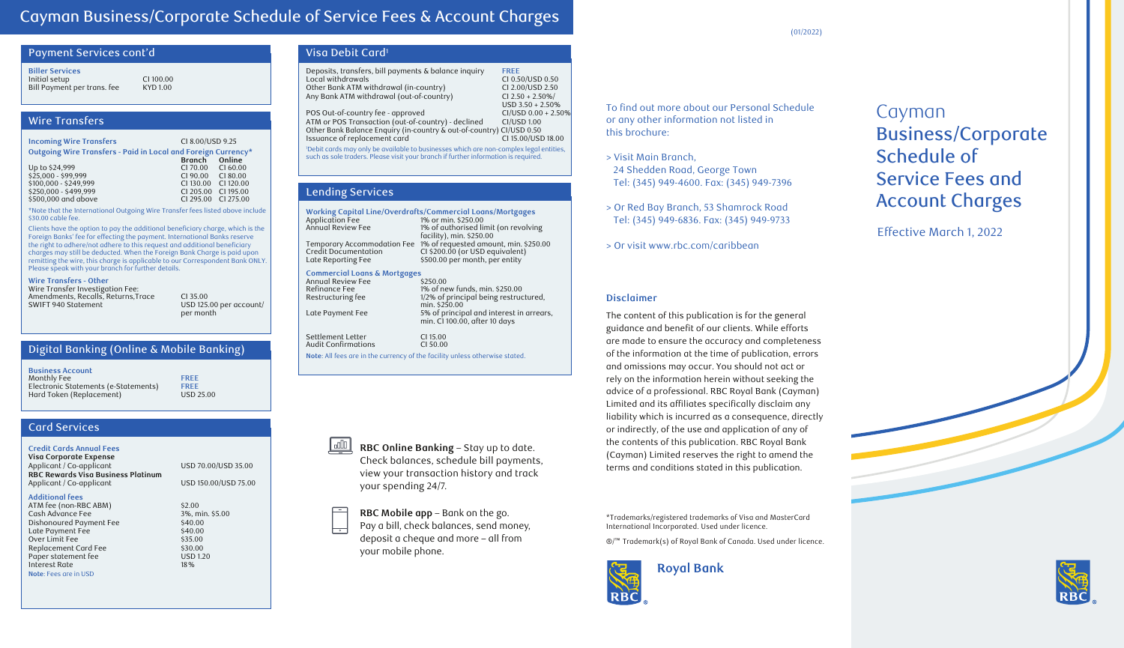## Cayman Business/Corporate Schedule of Service Fees & Account Charges

| Payment Services cont'd     |                 |
|-----------------------------|-----------------|
| <b>Biller Services</b>      |                 |
| Initial setup               | C1100.00        |
| Bill Payment per trans. fee | <b>KYD 1.00</b> |

## Wire Transfers

| <b>Incoming Wire Transfers</b>                                | CI 8.00/USD 9.25 |           |
|---------------------------------------------------------------|------------------|-----------|
| Outgoing Wire Transfers - Paid in Local and Foreign Currency* | Branch Online    |           |
|                                                               |                  |           |
| Up to \$24,999                                                | CI 70.00         | CI 60.00  |
| $$25.000 - $99.999$                                           | CI 90.00         | CI 80.00  |
| \$100,000 - \$249,999                                         | CI 130.00        | CI 120.00 |
| \$250,000 - \$499,999                                         | CI 205.00        | CI 195.00 |
| \$500,000 and above                                           | C1295.00         | C1275.00  |
|                                                               |                  |           |

\*Note that the International Outgoing Wire Transfer fees listed above include \$30.00 cable fee.

Clients have the option to pay the additional beneficiary charge, which is the Foreign Banks' fee for effecting the payment. International Banks reserve the right to adhere/not adhere to this request and additional beneficiary charges may still be deducted. When the Foreign Bank Charge is paid upon remitting the wire, this charge is applicable to our Correspondent Bank ONLY. Please speak with your branch for further details.

#### **Wire Transfers - Other**

Wire Transfer Investigation Fee: Amendments, Recalls, Returns, Trace CI 35.00<br>SWIFT 940 Statement CI 35.00

USD 125.00 per account/ per month

#### Digital Banking (Online & Mobile Banking)

| <b>Business Account</b>              |                  |
|--------------------------------------|------------------|
| Monthly Fee                          | <b>FRFF</b>      |
| Electronic Statements (e-Statements) | <b>FREE</b>      |
| Hard Token (Replacement)             | <b>USD 25.00</b> |

### Card Services

#### **Credit Cards Annual Fees**

**Visa Corporate Expense** Applicant / Co-applicant USD 70.00/USD 35.00 **RBC Rewards Visa Business Platinum** Applicant / Co-applicant USD 150.00/USD 75.00

#### **Additional fees**

ATM fee (non-RBC ABM) \$2.00<br>Cash Advance Fee \$2.00 \$3%, min. \$5.00 Cash Advance Fee 3%, min.<br>Dishonoured Payment Fee 340.00 Dishonoured Payment Fee \$40.00<br>Late Payment Fee \$40.00 Late Payment Fee \$40.00<br>Over Limit Fee \$35.00 Over Limit Fee \$35.00<br>Replacement Card Fee \$30.00 Replacement Card Fee  $$30.00$ <br>Paper statement fee  $$USD 1.20$ Paper statement fee USD 1.20 Interest Rate **Note**: Fees are in USD

| Visa Debit Card <sup>1</sup>                                                                                                                                                 |                                      |  |
|------------------------------------------------------------------------------------------------------------------------------------------------------------------------------|--------------------------------------|--|
| Deposits, transfers, bill payments & balance inquiry                                                                                                                         | <b>FREE</b>                          |  |
| Local withdrawals<br>Other Bank ATM withdrawal (in-country)                                                                                                                  | CI 0.50/USD 0.50<br>CI 2.00/USD 2.50 |  |
| Any Bank ATM withdrawal (out-of-country)                                                                                                                                     | $CI$ 2.50 + 2.50%/                   |  |
|                                                                                                                                                                              | $USD$ 3.50 + 2.50%                   |  |
| POS Out-of-country fee - approved                                                                                                                                            | $CI/USD 0.00 + 2.50%$                |  |
| ATM or POS Transaction (out-of-country) - declined                                                                                                                           | CI/USD 1.00                          |  |
| Other Bank Balance Enquiry (in-country & out-of-country) CI/USD 0.50                                                                                                         |                                      |  |
| Issuance of replacement card                                                                                                                                                 | CI 15.00/USD 18.00                   |  |
| 'Debit cards may only be available to businesses which are non-complex legal entities,<br>such as sole traders. Please visit your branch if further information is required. |                                      |  |
|                                                                                                                                                                              |                                      |  |
|                                                                                                                                                                              |                                      |  |
|                                                                                                                                                                              |                                      |  |

#### Lending Services

Settle **Audit** 

| <b>Working Capital Line/Overdrafts/Commercial Loans/Mortgages</b> |  |  |
|-------------------------------------------------------------------|--|--|
| 1% or min. \$250.00                                               |  |  |
| 1% of authorised limit (on revolving                              |  |  |
| facility), min. \$250.00                                          |  |  |
| Temporary Accommodation Fee 1% of requested amount, min. \$250.00 |  |  |
| CI \$200.00 (or USD equivalent)                                   |  |  |
| \$500.00 per month, per entity                                    |  |  |
| <b>Commercial Loans &amp; Mortgages</b>                           |  |  |
| \$250.00                                                          |  |  |
|                                                                   |  |  |

| Annugi Review Fee                                                           | \$250.00                                 |
|-----------------------------------------------------------------------------|------------------------------------------|
| Refinance Fee                                                               | 1% of new funds, min. \$250.00           |
| Restructuring fee                                                           | 1/2% of principal being restructured,    |
|                                                                             | min. \$250.00                            |
| Late Payment Fee                                                            | 5% of principal and interest in arrears, |
|                                                                             | min. Cl 100.00, after 10 days            |
|                                                                             |                                          |
| Settlement Letter                                                           | CI 15.00                                 |
| Audit Confirmations                                                         | CI 50.00                                 |
| Note: All fees are in the currency of the facility unless otherwise stated. |                                          |
|                                                                             |                                          |

 $\frac{\text{L}\oplus\text{L}}{\text{L}}$ **RBC Online Banking** – Stay up to date. Check balances, schedule bill payments, view your transaction history and track your spending 24/7.

**RBC Mobile app** – Bank on the go. Pay a bill, check balances, send money,  $\overline{\phantom{a}}$ deposit a cheque and more – all from your mobile phone.

To find out more about our Personal Schedule or any other information not listed in this brochure:

- > Visit Main Branch, 24 Shedden Road, George Town Tel: (345) 949-4600. Fax: (345) 949-7396
- > Or Red Bay Branch, 53 Shamrock Road Tel: (345) 949-6836. Fax: (345) 949-9733
- > Or visit www.rbc.com/caribbean

#### **Disclaimer**

The content of this publication is for the general guidance and benefit of our clients. While efforts are made to ensure the accuracy and completeness of the information at the time of publication, errors and omissions may occur. You should not act or rely on the information herein without seeking the advice of a professional. RBC Royal Bank (Cayman) Limited and its affiliates specifically disclaim any liability which is incurred as a consequence, directly or indirectly, of the use and application of any of the contents of this publication. RBC Royal Bank (Cayman) Limited reserves the right to amend the terms and conditions stated in this publication.

\*Trademarks/registered trademarks of Visa and MasterCard International Incorporated. Used under licence.

®/™ Trademark(s) of Royal Bank of Canada. Used under licence.



## Cayman Business/Corporate Schedule of Service Fees and Account Charges

Effective March 1, 2022





(01/2022)